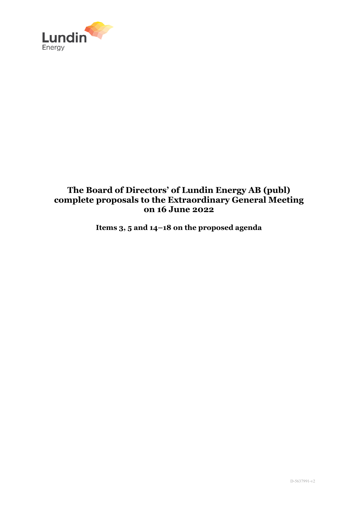

# **The Board of Directors' of Lundin Energy AB (publ) complete proposals to the Extraordinary General Meeting on 16 June 2022**

**Items 3, 5 and 14–18 on the proposed agenda**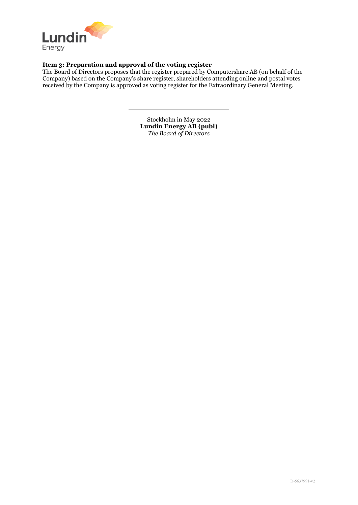

# **Item 3: Preparation and approval of the voting register**

The Board of Directors proposes that the register prepared by Computershare AB (on behalf of the Company) based on the Company's share register, shareholders attending online and postal votes received by the Company is approved as voting register for the Extraordinary General Meeting.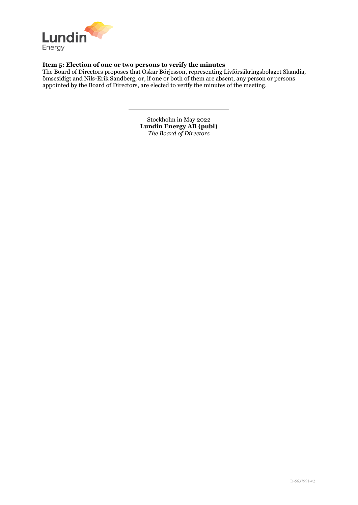

# **Item 5: Election of one or two persons to verify the minutes**

The Board of Directors proposes that Oskar Börjesson, representing Livförsäkringsbolaget Skandia, ömsesidigt and Nils-Erik Sandberg, or, if one or both of them are absent, any person or persons appointed by the Board of Directors, are elected to verify the minutes of the meeting.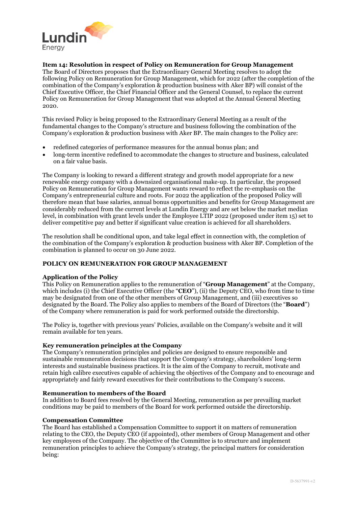

## **Item 14: Resolution in respect of Policy on Remuneration for Group Management**

The Board of Directors proposes that the Extraordinary General Meeting resolves to adopt the following Policy on Remuneration for Group Management, which for 2022 (after the completion of the combination of the Company's exploration & production business with Aker BP) will consist of the Chief Executive Officer, the Chief Financial Officer and the General Counsel, to replace the current Policy on Remuneration for Group Management that was adopted at the Annual General Meeting 2020.

This revised Policy is being proposed to the Extraordinary General Meeting as a result of the fundamental changes to the Company's structure and business following the combination of the Company's exploration & production business with Aker BP. The main changes to the Policy are:

- redefined categories of performance measures for the annual bonus plan; and
- long-term incentive redefined to accommodate the changes to structure and business, calculated on a fair value basis.

The Company is looking to reward a different strategy and growth model appropriate for a new renewable energy company with a downsized organisational make-up. In particular, the proposed Policy on Remuneration for Group Management wants reward to reflect the re-emphasis on the Company's entrepreneurial culture and roots. For 2022 the application of the proposed Policy will therefore mean that base salaries, annual bonus opportunities and benefits for Group Management are considerably reduced from the current levels at Lundin Energy and are set below the market median level, in combination with grant levels under the Employee LTIP 2022 (proposed under item 15) set to deliver competitive pay and better if significant value creation is achieved for all shareholders.

The resolution shall be conditional upon, and take legal effect in connection with, the completion of the combination of the Company's exploration & production business with Aker BP. Completion of the combination is planned to occur on 30 June 2022.

## **POLICY ON REMUNERATION FOR GROUP MANAGEMENT**

## **Application of the Policy**

This Policy on Remuneration applies to the remuneration of "**Group Management**" at the Company, which includes (i) the Chief Executive Officer (the "**CEO**"), (ii) the Deputy CEO, who from time to time may be designated from one of the other members of Group Management, and (iii) executives so designated by the Board. The Policy also applies to members of the Board of Directors (the "**Board**") of the Company where remuneration is paid for work performed outside the directorship.

The Policy is, together with previous years' Policies, available on the Company's website and it will remain available for ten years.

## **Key remuneration principles at the Company**

The Company's remuneration principles and policies are designed to ensure responsible and sustainable remuneration decisions that support the Company's strategy, shareholders' long-term interests and sustainable business practices. It is the aim of the Company to recruit, motivate and retain high calibre executives capable of achieving the objectives of the Company and to encourage and appropriately and fairly reward executives for their contributions to the Company's success.

## **Remuneration to members of the Board**

In addition to Board fees resolved by the General Meeting, remuneration as per prevailing market conditions may be paid to members of the Board for work performed outside the directorship.

## **Compensation Committee**

The Board has established a Compensation Committee to support it on matters of remuneration relating to the CEO, the Deputy CEO (if appointed), other members of Group Management and other key employees of the Company. The objective of the Committee is to structure and implement remuneration principles to achieve the Company's strategy, the principal matters for consideration being: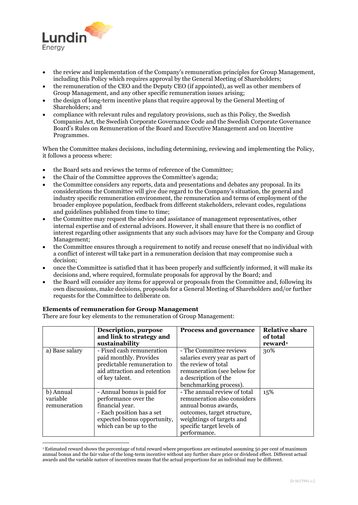

- the review and implementation of the Company's remuneration principles for Group Management, including this Policy which requires approval by the General Meeting of Shareholders;
- the remuneration of the CEO and the Deputy CEO (if appointed), as well as other members of Group Management, and any other specific remuneration issues arising;
- the design of long-term incentive plans that require approval by the General Meeting of Shareholders; and
- compliance with relevant rules and regulatory provisions, such as this Policy, the Swedish Companies Act, the Swedish Corporate Governance Code and the Swedish Corporate Governance Board's Rules on Remuneration of the Board and Executive Management and on Incentive Programmes.

When the Committee makes decisions, including determining, reviewing and implementing the Policy, it follows a process where:

- the Board sets and reviews the terms of reference of the Committee;
- the Chair of the Committee approves the Committee's agenda;
- the Committee considers any reports, data and presentations and debates any proposal. In its considerations the Committee will give due regard to the Company's situation, the general and industry specific remuneration environment, the remuneration and terms of employment of the broader employee population, feedback from different stakeholders, relevant codes, regulations and guidelines published from time to time;
- the Committee may request the advice and assistance of management representatives, other internal expertise and of external advisors. However, it shall ensure that there is no conflict of interest regarding other assignments that any such advisors may have for the Company and Group Management;
- the Committee ensures through a requirement to notify and recuse oneself that no individual with a conflict of interest will take part in a remuneration decision that may compromise such a decision;
- once the Committee is satisfied that it has been properly and sufficiently informed, it will make its decisions and, where required, formulate proposals for approval by the Board; and
- the Board will consider any items for approval or proposals from the Committee and, following its own discussions, make decisions, proposals for a General Meeting of Shareholders and/or further requests for the Committee to deliberate on.

## **Elements of remuneration for Group Management**

There are four key elements to the remuneration of Group Management:

|                                       | Description, purpose<br>and link to strategy and<br>sustainability                                                                                          | <b>Process and governance</b>                                                                                                                                                                | <b>Relative share</b><br>of total<br>reward <sup>1</sup> |
|---------------------------------------|-------------------------------------------------------------------------------------------------------------------------------------------------------------|----------------------------------------------------------------------------------------------------------------------------------------------------------------------------------------------|----------------------------------------------------------|
| a) Base salary                        | - Fixed cash remuneration<br>paid monthly. Provides<br>predictable remuneration to<br>aid attraction and retention<br>of key talent.                        | - The Committee reviews<br>salaries every year as part of<br>the review of total<br>remuneration (see below for<br>a description of the<br>benchmarking process).                            | 30%                                                      |
| b) Annual<br>variable<br>remuneration | - Annual bonus is paid for<br>performance over the<br>financial year.<br>- Each position has a set<br>expected bonus opportunity,<br>which can be up to the | - The annual review of total<br>remuneration also considers<br>annual bonus awards,<br>outcomes, target structure,<br>weightings of targets and<br>specific target levels of<br>performance. | 15%                                                      |

<span id="page-4-0"></span><sup>&</sup>lt;sup>1</sup> Estimated reward shows the percentage of total reward where proportions are estimated assuming 50 per cent of maximum annual bonus and the fair value of the long-term incentive without any further share price or dividend effect. Different actual awards and the variable nature of incentives means that the actual proportions for an individual may be different.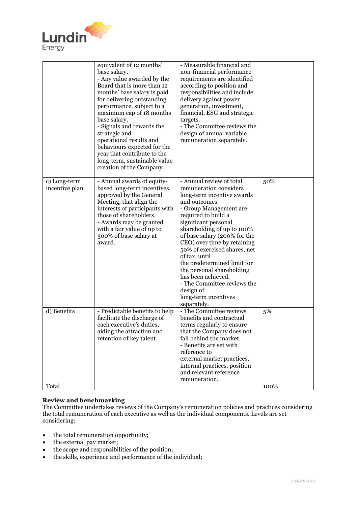

| - Annual review of total<br>50%<br>c) Long-term<br>- Annual awards of equity-<br>remuneration considers<br>incentive plan<br>based long-term incentives,<br>long-term incentive awards<br>approved by the General<br>Meeting, that align the<br>and outcomes.<br>- Group Management are<br>interests of participants with<br>those of shareholders.<br>required to build a<br>- Awards may be granted<br>significant personal<br>shareholding of up to 100%<br>with a fair value of up to<br>300% of base salary at<br>of base salary (200% for the<br>award.<br>CEO) over time by retaining<br>50% of exercised shares, net<br>of tax, until<br>the predetermined limit for<br>the personal shareholding<br>has been achieved.<br>- The Committee reviews the<br>design of<br>long-term incentives<br>separately.<br>d) Benefits<br>- The Committee reviews<br>5%<br>- Predictable benefits to help<br>benefits and contractual<br>facilitate the discharge of<br>each executive's duties,<br>terms regularly to ensure<br>aiding the attraction and<br>that the Company does not<br>retention of key talent.<br>fall behind the market.<br>- Benefits are set with<br>reference to<br>external market practices,<br>internal practices, position<br>and relevant reference | equivalent of 12 months'<br>base salary.<br>- Any value awarded by the<br>Board that is more than 12<br>months' base salary is paid<br>for delivering outstanding<br>performance, subject to a<br>maximum cap of 18 months<br>base salary.<br>- Signals and rewards the<br>strategic and<br>operational results and<br>behaviours expected for the<br>year that contribute to the<br>long-term, sustainable value<br>creation of the Company. | - Measurable financial and<br>non-financial performance<br>requirements are identified<br>according to position and<br>responsibilities and include<br>delivery against power<br>generation, investment,<br>financial, ESG and strategic<br>targets.<br>- The Committee reviews the<br>design of annual variable<br>remuneration separately. |  |
|------------------------------------------------------------------------------------------------------------------------------------------------------------------------------------------------------------------------------------------------------------------------------------------------------------------------------------------------------------------------------------------------------------------------------------------------------------------------------------------------------------------------------------------------------------------------------------------------------------------------------------------------------------------------------------------------------------------------------------------------------------------------------------------------------------------------------------------------------------------------------------------------------------------------------------------------------------------------------------------------------------------------------------------------------------------------------------------------------------------------------------------------------------------------------------------------------------------------------------------------------------------------------|-----------------------------------------------------------------------------------------------------------------------------------------------------------------------------------------------------------------------------------------------------------------------------------------------------------------------------------------------------------------------------------------------------------------------------------------------|----------------------------------------------------------------------------------------------------------------------------------------------------------------------------------------------------------------------------------------------------------------------------------------------------------------------------------------------|--|
|                                                                                                                                                                                                                                                                                                                                                                                                                                                                                                                                                                                                                                                                                                                                                                                                                                                                                                                                                                                                                                                                                                                                                                                                                                                                              |                                                                                                                                                                                                                                                                                                                                                                                                                                               |                                                                                                                                                                                                                                                                                                                                              |  |
| Total<br>100%                                                                                                                                                                                                                                                                                                                                                                                                                                                                                                                                                                                                                                                                                                                                                                                                                                                                                                                                                                                                                                                                                                                                                                                                                                                                |                                                                                                                                                                                                                                                                                                                                                                                                                                               | remuneration.                                                                                                                                                                                                                                                                                                                                |  |

## **Review and benchmarking**

The Committee undertakes reviews of the Company's remuneration policies and practices considering the total remuneration of each executive as well as the individual components. Levels are set considering:

- the total remuneration opportunity;
- the external pay market;
- the scope and responsibilities of the position;
- the skills, experience and performance of the individual;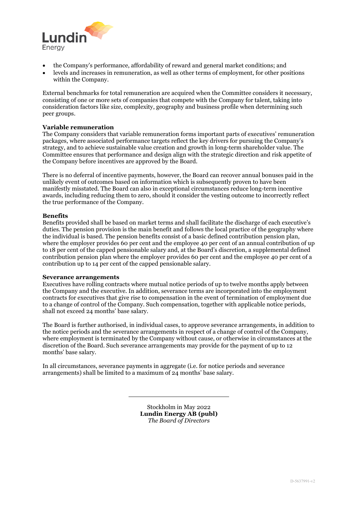

- the Company's performance, affordability of reward and general market conditions; and
- levels and increases in remuneration, as well as other terms of employment, for other positions within the Company.

External benchmarks for total remuneration are acquired when the Committee considers it necessary, consisting of one or more sets of companies that compete with the Company for talent, taking into consideration factors like size, complexity, geography and business profile when determining such peer groups.

## **Variable remuneration**

The Company considers that variable remuneration forms important parts of executives' remuneration packages, where associated performance targets reflect the key drivers for pursuing the Company's strategy, and to achieve sustainable value creation and growth in long-term shareholder value. The Committee ensures that performance and design align with the strategic direction and risk appetite of the Company before incentives are approved by the Board.

There is no deferral of incentive payments, however, the Board can recover annual bonuses paid in the unlikely event of outcomes based on information which is subsequently proven to have been manifestly misstated. The Board can also in exceptional circumstances reduce long-term incentive awards, including reducing them to zero, should it consider the vesting outcome to incorrectly reflect the true performance of the Company.

## **Benefits**

Benefits provided shall be based on market terms and shall facilitate the discharge of each executive's duties. The pension provision is the main benefit and follows the local practice of the geography where the individual is based. The pension benefits consist of a basic defined contribution pension plan, where the employer provides 60 per cent and the employee 40 per cent of an annual contribution of up to 18 per cent of the capped pensionable salary and, at the Board's discretion, a supplemental defined contribution pension plan where the employer provides 60 per cent and the employee 40 per cent of a contribution up to 14 per cent of the capped pensionable salary.

## **Severance arrangements**

Executives have rolling contracts where mutual notice periods of up to twelve months apply between the Company and the executive. In addition, severance terms are incorporated into the employment contracts for executives that give rise to compensation in the event of termination of employment due to a change of control of the Company. Such compensation, together with applicable notice periods, shall not exceed 24 months' base salary.

The Board is further authorised, in individual cases, to approve severance arrangements, in addition to the notice periods and the severance arrangements in respect of a change of control of the Company, where employment is terminated by the Company without cause, or otherwise in circumstances at the discretion of the Board. Such severance arrangements may provide for the payment of up to 12 months' base salary.

In all circumstances, severance payments in aggregate (i.e. for notice periods and severance arrangements) shall be limited to a maximum of 24 months' base salary.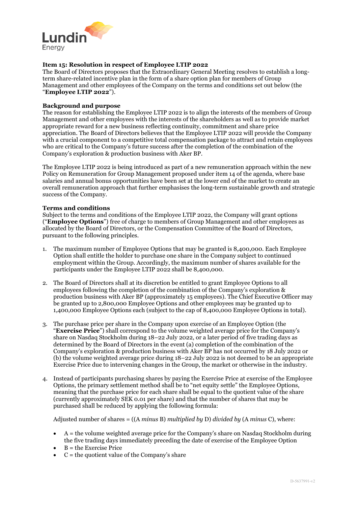

## **Item 15: Resolution in respect of Employee LTIP 2022**

The Board of Directors proposes that the Extraordinary General Meeting resolves to establish a longterm share-related incentive plan in the form of a share option plan for members of Group Management and other employees of the Company on the terms and conditions set out below (the "**Employee LTIP 2022**").

#### **Background and purpose**

The reason for establishing the Employee LTIP 2022 is to align the interests of the members of Group Management and other employees with the interests of the shareholders as well as to provide market appropriate reward for a new business reflecting continuity, commitment and share price appreciation. The Board of Directors believes that the Employee LTIP 2022 will provide the Company with a crucial component to a competitive total compensation package to attract and retain employees who are critical to the Company's future success after the completion of the combination of the Company's exploration & production business with Aker BP.

The Employee LTIP 2022 is being introduced as part of a new remuneration approach within the new Policy on Remuneration for Group Management proposed under item 14 of the agenda, where base salaries and annual bonus opportunities have been set at the lower end of the market to create an overall remuneration approach that further emphasises the long-term sustainable growth and strategic success of the Company.

## **Terms and conditions**

Subject to the terms and conditions of the Employee LTIP 2022, the Company will grant options ("**Employee Options**") free of charge to members of Group Management and other employees as allocated by the Board of Directors, or the Compensation Committee of the Board of Directors, pursuant to the following principles.

- 1. The maximum number of Employee Options that may be granted is 8,400,000. Each Employee Option shall entitle the holder to purchase one share in the Company subject to continued employment within the Group. Accordingly, the maximum number of shares available for the participants under the Employee LTIP 2022 shall be 8,400,000.
- 2. The Board of Directors shall at its discretion be entitled to grant Employee Options to all employees following the completion of the combination of the Company's exploration & production business with Aker BP (approximately 15 employees). The Chief Executive Officer may be granted up to 2,800,000 Employee Options and other employees may be granted up to 1,400,000 Employee Options each (subject to the cap of 8,400,000 Employee Options in total).
- 3. The purchase price per share in the Company upon exercise of an Employee Option (the "**Exercise Price**") shall correspond to the volume weighted average price for the Company's share on Nasdaq Stockholm during 18–22 July 2022, or a later period of five trading days as determined by the Board of Directors in the event (a) completion of the combination of the Company's exploration & production business with Aker BP has not occurred by 18 July 2022 or (b) the volume weighted average price during 18–22 July 2022 is not deemed to be an appropriate Exercise Price due to intervening changes in the Group, the market or otherwise in the industry.
- 4. Instead of participants purchasing shares by paying the Exercise Price at exercise of the Employee Options, the primary settlement method shall be to "net equity settle" the Employee Options, meaning that the purchase price for each share shall be equal to the quotient value of the share (currently approximately SEK 0.01 per share) and that the number of shares that may be purchased shall be reduced by applying the following formula:

Adjusted number of shares = ((A *minus* B) *multiplied by* D) *divided by* (A *minus* C), where:

- $\bullet$  A = the volume weighted average price for the Company's share on Nasdaq Stockholm during the five trading days immediately preceding the date of exercise of the Employee Option
- B = the Exercise Price
- $\bullet$   $C =$  the quotient value of the Company's share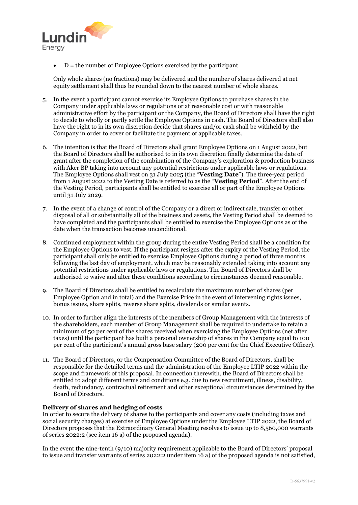

 $\bullet$  D = the number of Employee Options exercised by the participant

Only whole shares (no fractions) may be delivered and the number of shares delivered at net equity settlement shall thus be rounded down to the nearest number of whole shares.

- 5. In the event a participant cannot exercise its Employee Options to purchase shares in the Company under applicable laws or regulations or at reasonable cost or with reasonable administrative effort by the participant or the Company, the Board of Directors shall have the right to decide to wholly or partly settle the Employee Options in cash. The Board of Directors shall also have the right to in its own discretion decide that shares and/or cash shall be withheld by the Company in order to cover or facilitate the payment of applicable taxes.
- 6. The intention is that the Board of Directors shall grant Employee Options on 1 August 2022, but the Board of Directors shall be authorised to in its own discretion finally determine the date of grant after the completion of the combination of the Company's exploration & production business with Aker BP taking into account any potential restrictions under applicable laws or regulations. The Employee Options shall vest on 31 July 2025 (the "**Vesting Date**"). The three-year period from 1 August 2022 to the Vesting Date is referred to as the "**Vesting Period**". After the end of the Vesting Period, participants shall be entitled to exercise all or part of the Employee Options until 31 July 2029.
- 7. In the event of a change of control of the Company or a direct or indirect sale, transfer or other disposal of all or substantially all of the business and assets, the Vesting Period shall be deemed to have completed and the participants shall be entitled to exercise the Employee Options as of the date when the transaction becomes unconditional.
- 8. Continued employment within the group during the entire Vesting Period shall be a condition for the Employee Options to vest. If the participant resigns after the expiry of the Vesting Period, the participant shall only be entitled to exercise Employee Options during a period of three months following the last day of employment, which may be reasonably extended taking into account any potential restrictions under applicable laws or regulations. The Board of Directors shall be authorised to waive and alter these conditions according to circumstances deemed reasonable.
- 9. The Board of Directors shall be entitled to recalculate the maximum number of shares (per Employee Option and in total) and the Exercise Price in the event of intervening rights issues, bonus issues, share splits, reverse share splits, dividends or similar events.
- 10. In order to further align the interests of the members of Group Management with the interests of the shareholders, each member of Group Management shall be required to undertake to retain a minimum of 50 per cent of the shares received when exercising the Employee Options (net after taxes) until the participant has built a personal ownership of shares in the Company equal to 100 per cent of the participant's annual gross base salary (200 per cent for the Chief Executive Officer).
- 11. The Board of Directors, or the Compensation Committee of the Board of Directors, shall be responsible for the detailed terms and the administration of the Employee LTIP 2022 within the scope and framework of this proposal. In connection therewith, the Board of Directors shall be entitled to adopt different terms and conditions e.g. due to new recruitment, illness, disability, death, redundancy, contractual retirement and other exceptional circumstances determined by the Board of Directors.

## **Delivery of shares and hedging of costs**

In order to secure the delivery of shares to the participants and cover any costs (including taxes and social security charges) at exercise of Employee Options under the Employee LTIP 2022, the Board of Directors proposes that the Extraordinary General Meeting resolves to issue up to 8,560,000 warrants of series 2022:2 (see item 16 a) of the proposed agenda).

In the event the nine-tenth (9/10) majority requirement applicable to the Board of Directors' proposal to issue and transfer warrants of series 2022:2 under item 16 a) of the proposed agenda is not satisfied,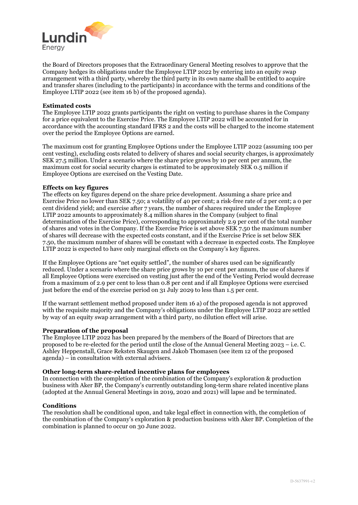

the Board of Directors proposes that the Extraordinary General Meeting resolves to approve that the Company hedges its obligations under the Employee LTIP 2022 by entering into an equity swap arrangement with a third party, whereby the third party in its own name shall be entitled to acquire and transfer shares (including to the participants) in accordance with the terms and conditions of the Employee LTIP 2022 (see item 16 b) of the proposed agenda).

## **Estimated costs**

The Employee LTIP 2022 grants participants the right on vesting to purchase shares in the Company for a price equivalent to the Exercise Price. The Employee LTIP 2022 will be accounted for in accordance with the accounting standard IFRS 2 and the costs will be charged to the income statement over the period the Employee Options are earned.

The maximum cost for granting Employee Options under the Employee LTIP 2022 (assuming 100 per cent vesting), excluding costs related to delivery of shares and social security charges, is approximately SEK 27.5 million. Under a scenario where the share price grows by 10 per cent per annum, the maximum cost for social security charges is estimated to be approximately SEK 0.5 million if Employee Options are exercised on the Vesting Date.

## **Effects on key figures**

The effects on key figures depend on the share price development. Assuming a share price and Exercise Price no lower than SEK 7.50; a volatility of 40 per cent; a risk-free rate of 2 per cent; a 0 per cent dividend yield; and exercise after 7 years, the number of shares required under the Employee LTIP 2022 amounts to approximately 8.4 million shares in the Company (subject to final determination of the Exercise Price), corresponding to approximately 2.9 per cent of the total number of shares and votes in the Company. If the Exercise Price is set above SEK 7.50 the maximum number of shares will decrease with the expected costs constant, and if the Exercise Price is set below SEK 7.50, the maximum number of shares will be constant with a decrease in expected costs. The Employee LTIP 2022 is expected to have only marginal effects on the Company's key figures.

If the Employee Options are "net equity settled", the number of shares used can be significantly reduced. Under a scenario where the share price grows by 10 per cent per annum, the use of shares if all Employee Options were exercised on vesting just after the end of the Vesting Period would decrease from a maximum of 2.9 per cent to less than 0.8 per cent and if all Employee Options were exercised just before the end of the exercise period on 31 July 2029 to less than 1.5 per cent.

If the warrant settlement method proposed under item 16 a) of the proposed agenda is not approved with the requisite majority and the Company's obligations under the Employee LTIP 2022 are settled by way of an equity swap arrangement with a third party, no dilution effect will arise.

## **Preparation of the proposal**

The Employee LTIP 2022 has been prepared by the members of the Board of Directors that are proposed to be re-elected for the period until the close of the Annual General Meeting 2023 – i.e. C. Ashley Heppenstall, Grace Reksten Skaugen and Jakob Thomasen (see item 12 of the proposed agenda) – in consultation with external advisers.

## **Other long-term share-related incentive plans for employees**

In connection with the completion of the combination of the Company's exploration & production business with Aker BP, the Company's currently outstanding long-term share related incentive plans (adopted at the Annual General Meetings in 2019, 2020 and 2021) will lapse and be terminated.

## **Conditions**

The resolution shall be conditional upon, and take legal effect in connection with, the completion of the combination of the Company's exploration & production business with Aker BP. Completion of the combination is planned to occur on 30 June 2022.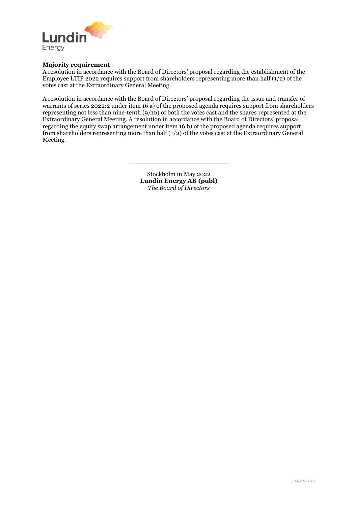

## **Majority requirement**

A resolution in accordance with the Board of Directors' proposal regarding the establishment of the Employee LTIP 2022 requires support from shareholders representing more than half  $(1/2)$  of the votes cast at the Extraordinary General Meeting.

A resolution in accordance with the Board of Directors' proposal regarding the issue and transfer of warrants of series 2022:2 under item 16 a) of the proposed agenda requires support from shareholders representing not less than nine-tenth (9/10) of both the votes cast and the shares represented at the Extraordinary General Meeting. A resolution in accordance with the Board of Directors' proposal regarding the equity swap arrangement under item 16 b) of the proposed agenda requires support from shareholders representing more than half  $(1/2)$  of the votes cast at the Extraordinary General Meeting.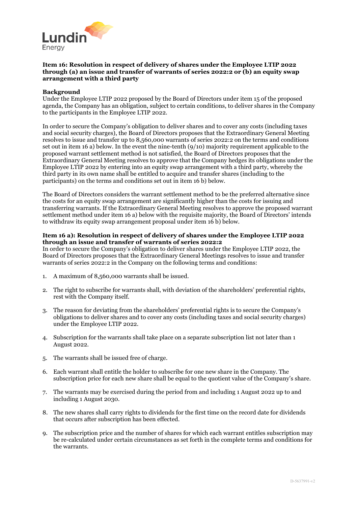

## **Item 16: Resolution in respect of delivery of shares under the Employee LTIP 2022 through (a) an issue and transfer of warrants of series 2022:2 or (b) an equity swap arrangement with a third party**

## **Background**

Under the Employee LTIP 2022 proposed by the Board of Directors under item 15 of the proposed agenda, the Company has an obligation, subject to certain conditions, to deliver shares in the Company to the participants in the Employee LTIP 2022.

In order to secure the Company's obligation to deliver shares and to cover any costs (including taxes and social security charges), the Board of Directors proposes that the Extraordinary General Meeting resolves to issue and transfer up to 8,560,000 warrants of series 2022:2 on the terms and conditions set out in item 16 a) below. In the event the nine-tenth (9/10) majority requirement applicable to the proposed warrant settlement method is not satisfied, the Board of Directors proposes that the Extraordinary General Meeting resolves to approve that the Company hedges its obligations under the Employee LTIP 2022 by entering into an equity swap arrangement with a third party, whereby the third party in its own name shall be entitled to acquire and transfer shares (including to the participants) on the terms and conditions set out in item 16 b) below.

The Board of Directors considers the warrant settlement method to be the preferred alternative since the costs for an equity swap arrangement are significantly higher than the costs for issuing and transferring warrants. If the Extraordinary General Meeting resolves to approve the proposed warrant settlement method under item 16 a) below with the requisite majority, the Board of Directors' intends to withdraw its equity swap arrangement proposal under item 16 b) below.

#### **Item 16 a): Resolution in respect of delivery of shares under the Employee LTIP 2022 through an issue and transfer of warrants of series 2022:2**

In order to secure the Company's obligation to deliver shares under the Employee LTIP 2022, the Board of Directors proposes that the Extraordinary General Meetings resolves to issue and transfer warrants of series 2022:2 in the Company on the following terms and conditions:

- 1. A maximum of 8,560,000 warrants shall be issued.
- 2. The right to subscribe for warrants shall, with deviation of the shareholders' preferential rights, rest with the Company itself.
- 3. The reason for deviating from the shareholders' preferential rights is to secure the Company's obligations to deliver shares and to cover any costs (including taxes and social security charges) under the Employee LTIP 2022.
- 4. Subscription for the warrants shall take place on a separate subscription list not later than 1 August 2022.
- 5. The warrants shall be issued free of charge.
- 6. Each warrant shall entitle the holder to subscribe for one new share in the Company. The subscription price for each new share shall be equal to the quotient value of the Company's share.
- 7. The warrants may be exercised during the period from and including 1 August 2022 up to and including 1 August 2030.
- 8. The new shares shall carry rights to dividends for the first time on the record date for dividends that occurs after subscription has been effected.
- 9. The subscription price and the number of shares for which each warrant entitles subscription may be re-calculated under certain circumstances as set forth in the complete terms and conditions for the warrants.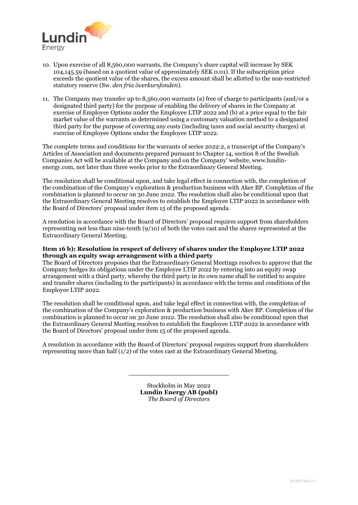

- 10. Upon exercise of all 8,560,000 warrants, the Company's share capital will increase by SEK 104,145.59 (based on a quotient value of approximately SEK 0.01). If the subscription price exceeds the quotient value of the shares, the excess amount shall be allotted to the non-restricted statutory reserve (Sw. *den fria överkursfonden*).
- 11. The Company may transfer up to 8,560,000 warrants (a) free of charge to participants (and/or a designated third party) for the purpose of enabling the delivery of shares in the Company at exercise of Employee Options under the Employee LTIP 2022 and (b) at a price equal to the fair market value of the warrants as determined using a customary valuation method to a designated third party for the purpose of covering any costs (including taxes and social security charges) at exercise of Employee Options under the Employee LTIP 2022.

The complete terms and conditions for the warrants of series 2022:2, a transcript of the Company's Articles of Association and documents prepared pursuant to Chapter 14, section 8 of the Swedish Companies Act will be available at the Company and on the Company' website, www.lundinenergy.com, not later than three weeks prior to the Extraordinary General Meeting.

The resolution shall be conditional upon, and take legal effect in connection with, the completion of the combination of the Company's exploration & production business with Aker BP. Completion of the combination is planned to occur on 30 June 2022. The resolution shall also be conditional upon that the Extraordinary General Meeting resolves to establish the Employee LTIP 2022 in accordance with the Board of Directors' proposal under item 15 of the proposed agenda.

A resolution in accordance with the Board of Directors' proposal requires support from shareholders representing not less than nine-tenth (9/10) of both the votes cast and the shares represented at the Extraordinary General Meeting.

## **Item 16 b): Resolution in respect of delivery of shares under the Employee LTIP 2022 through an equity swap arrangement with a third party**

The Board of Directors proposes that the Extraordinary General Meetings resolves to approve that the Company hedges its obligations under the Employee LTIP 2022 by entering into an equity swap arrangement with a third party, whereby the third party in its own name shall be entitled to acquire and transfer shares (including to the participants) in accordance with the terms and conditions of the Employee LTIP 2022.

The resolution shall be conditional upon, and take legal effect in connection with, the completion of the combination of the Company's exploration & production business with Aker BP. Completion of the combination is planned to occur on 30 June 2022. The resolution shall also be conditional upon that the Extraordinary General Meeting resolves to establish the Employee LTIP 2022 in accordance with the Board of Directors' proposal under item 15 of the proposed agenda.

A resolution in accordance with the Board of Directors' proposal requires support from shareholders representing more than half  $(1/2)$  of the votes cast at the Extraordinary General Meeting.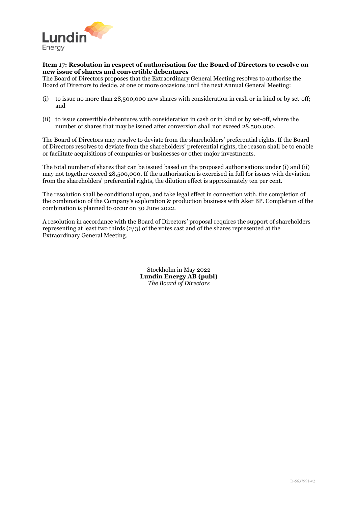

## **Item 17: Resolution in respect of authorisation for the Board of Directors to resolve on new issue of shares and convertible debentures**

The Board of Directors proposes that the Extraordinary General Meeting resolves to authorise the Board of Directors to decide, at one or more occasions until the next Annual General Meeting:

- (i) to issue no more than 28,500,000 new shares with consideration in cash or in kind or by set-off; and
- (ii) to issue convertible debentures with consideration in cash or in kind or by set-off, where the number of shares that may be issued after conversion shall not exceed 28,500,000.

The Board of Directors may resolve to deviate from the shareholders' preferential rights. If the Board of Directors resolves to deviate from the shareholders' preferential rights, the reason shall be to enable or facilitate acquisitions of companies or businesses or other major investments.

The total number of shares that can be issued based on the proposed authorisations under (i) and (ii) may not together exceed 28,500,000. If the authorisation is exercised in full for issues with deviation from the shareholders' preferential rights, the dilution effect is approximately ten per cent.

The resolution shall be conditional upon, and take legal effect in connection with, the completion of the combination of the Company's exploration & production business with Aker BP. Completion of the combination is planned to occur on 30 June 2022.

A resolution in accordance with the Board of Directors' proposal requires the support of shareholders representing at least two thirds (2/3) of the votes cast and of the shares represented at the Extraordinary General Meeting.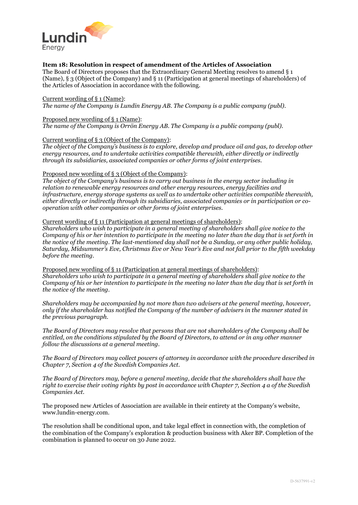

## **Item 18: Resolution in respect of amendment of the Articles of Association**

The Board of Directors proposes that the Extraordinary General Meeting resolves to amend § 1 (Name), § 3 (Object of the Company) and § 11 (Participation at general meetings of shareholders) of the Articles of Association in accordance with the following.

#### Current wording of § 1 (Name):

*The name of the Company is Lundin Energy AB. The Company is a public company (publ).*

#### Proposed new wording of § 1 (Name):

*The name of the Company is Orrön Energy AB. The Company is a public company (publ).*

#### Current wording of § 3 (Object of the Company):

*The object of the Company's business is to explore, develop and produce oil and gas, to develop other energy resources, and to undertake activities compatible therewith, either directly or indirectly through its subsidiaries, associated companies or other forms of joint enterprises.*

#### Proposed new wording of § 3 (Object of the Company):

*The object of the Company's business is to carry out business in the energy sector including in relation to renewable energy resources and other energy resources, energy facilities and infrastructure, energy storage systems as well as to undertake other activities compatible therewith, either directly or indirectly through its subsidiaries, associated companies or in participation or cooperation with other companies or other forms of joint enterprises.*

#### Current wording of § 11 (Participation at general meetings of shareholders):

*Shareholders who wish to participate in a general meeting of shareholders shall give notice to the Company of his or her intention to participate in the meeting no later than the day that is set forth in the notice of the meeting. The last-mentioned day shall not be a Sunday, or any other public holiday, Saturday, Midsummer's Eve, Christmas Eve or New Year's Eve and not fall prior to the fifth weekday before the meeting.*

Proposed new wording of § 11 (Participation at general meetings of shareholders): *Shareholders who wish to participate in a general meeting of shareholders shall give notice to the Company of his or her intention to participate in the meeting no later than the day that is set forth in the notice of the meeting.*

*Shareholders may be accompanied by not more than two advisers at the general meeting, however, only if the shareholder has notified the Company of the number of advisers in the manner stated in the previous paragraph.*

*The Board of Directors may resolve that persons that are not shareholders of the Company shall be entitled, on the conditions stipulated by the Board of Directors, to attend or in any other manner follow the discussions at a general meeting.*

*The Board of Directors may collect powers of attorney in accordance with the procedure described in Chapter 7, Section 4 of the Swedish Companies Act.*

*The Board of Directors may, before a general meeting, decide that the shareholders shall have the right to exercise their voting rights by post in accordance with Chapter 7, Section 4 a of the Swedish Companies Act.*

The proposed new Articles of Association are available in their entirety at the Company's website, www.lundin-energy.com.

The resolution shall be conditional upon, and take legal effect in connection with, the completion of the combination of the Company's exploration & production business with Aker BP. Completion of the combination is planned to occur on 30 June 2022.